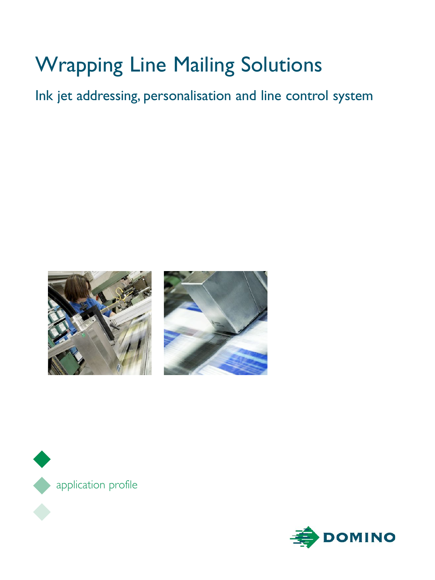# Wrapping Line Mailing Solutions

Ink jet addressing, personalisation and line control system







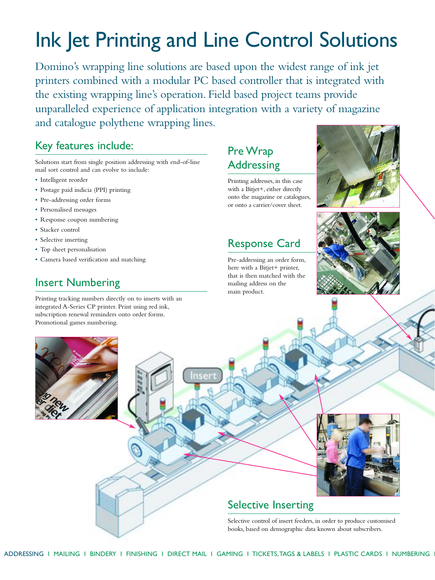# Ink Jet Printing and Line Control Solutions

Domino's wrapping line solutions are based upon the widest range of ink jet printers combined with a modular PC based controller that is integrated with the existing wrapping line's operation. Field based project teams provide unparalleled experience of application integration with a variety of magazine and catalogue polythene wrapping lines.

#### Key features include:

Solutions start from single position addressing with end-of-line mail sort control and can evolve to include:

- Intelligent reorder
- Postage paid indicia (PPI) printing
- Pre-addressing order forms
- Personalised messages
- Response coupon numbering
- Stacker control
- Selective inserting
- Top sheet personalisation
- Camera based verification and matching

## Insert Numbering

Printing tracking numbers directly on to inserts with an integrated A-Series CP printer. Print using red ink, subscription renewal reminders onto order forms.

## Pre Wrap Addressing

Printing addresses, in this case with a Bitjet+, either directly onto the magazine or catalogues, or onto a carrier/cover sheet.

Response Card

Pre-addressing an order form, here with a Bitjet+ printer, that is then matched with the mailing address on the main product.







#### Selective control of insert feeders, in order to produce customised books, based on demographic data known about subscribers.

Promotional games numbering.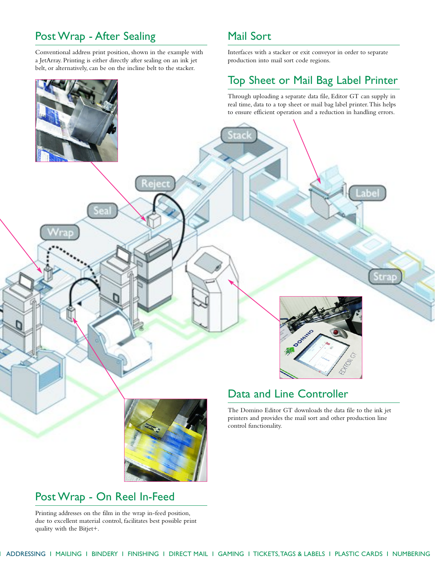## Post Wrap - After Sealing

Conventional address print position, shown in the example with a JetArray. Printing is either directly after sealing on an ink jet belt, or alternatively, can be on the incline belt to the stacker.

#### Mail Sort

Interfaces with a stacker or exit conveyor in order to separate production into mail sort code regions.

#### Top Sheet or Mail Bag Label Printer

Through uploading a separate data file, Editor GT can supply in real time, data to a top sheet or mail bag label printer.This helps to ensure efficient operation and a reduction in handling errors.



## Post Wrap - On Reel In-Feed

Printing addresses on the film in the wrap in-feed position, due to excellent material control, facilitates best possible print quality with the Bitjet+.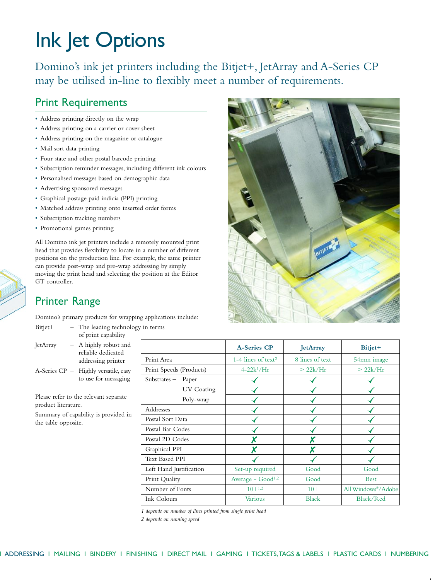# Ink Jet Options

Domino's ink jet printers including the Bitjet+, JetArray and A-Series CP may be utilised in-line to flexibly meet a number of requirements.

#### Print Requirements

- Address printing directly on the wrap
- Address printing on a carrier or cover sheet
- Address printing on the magazine or catalogue
- Mail sort data printing
- Four state and other postal barcode printing
- Subscription reminder messages, including different ink colours
- Personalised messages based on demographic data
- Advertising sponsored messages
- Graphical postage paid indicia (PPI) printing
- Matched address printing onto inserted order forms
- Subscription tracking numbers
- Promotional games printing

All Domino ink jet printers include a remotely mounted print head that provides flexibility to locate in a number of different positions on the production line. For example, the same printer can provide post-wrap and pre-wrap addressing by simply moving the print head and selecting the position at the Editor GT controller.

#### Printer Range

Domino's primary products for wrapping applications include:

- Bitjet+ The leading technology in terms of print capability
- JetArray A highly robust and reliable dedicated addressing printer
- A-Series CP Highly versatile, easy to use for messaging

Please refer to the relevant separate product literature.

Summary of capability is provided in the table opposite.

|                         |            | <b>A-Series CP</b>             | <b>JetArray</b> | Bitjet+            |
|-------------------------|------------|--------------------------------|-----------------|--------------------|
| Print Area              |            | 1-4 lines of text <sup>2</sup> | 8 lines of text | 54mm image         |
| Print Speeds (Products) |            | $4 - 22k^1/Hr$                 | >22k/Hr         | > 22k/Hr           |
| Substrates - Paper      |            |                                |                 |                    |
|                         | UV Coating |                                |                 |                    |
|                         | Poly-wrap  |                                |                 |                    |
| Addresses               |            |                                |                 |                    |
| Postal Sort Data        |            |                                |                 |                    |
| Postal Bar Codes        |            |                                |                 |                    |
| Postal 2D Codes         |            |                                |                 |                    |
| Graphical PPI           |            | X                              |                 |                    |
| <b>Text Based PPI</b>   |            |                                |                 |                    |
| Left Hand Justification |            | Set-up required                | Good            | Good               |
| Print Quality           |            | Average - Good <sup>1,2</sup>  | Good            | <b>Best</b>        |
| Number of Fonts         |            | $10+1,2$                       | $10+$           | All Windows®/Adobe |
| Ink Colours             |            | <b>Various</b>                 | <b>Black</b>    | Black/Red          |

*1 depends on number of lines printed from single print head*

*2 depends on running speed*

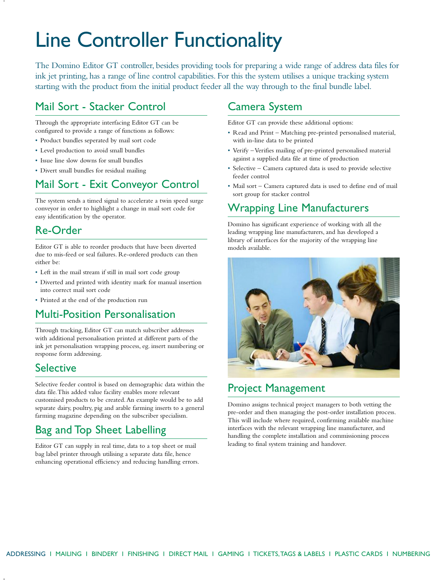## Line Controller Functionality

The Domino Editor GT controller, besides providing tools for preparing a wide range of address data files for ink jet printing, has a range of line control capabilities. For this the system utilises a unique tracking system starting with the product from the initial product feeder all the way through to the final bundle label.

### Mail Sort - Stacker Control

Through the appropriate interfacing Editor GT can be configured to provide a range of functions as follows:

- Product bundles seperated by mail sort code
- Level production to avoid small bundles
- Issue line slow downs for small bundles
- Divert small bundles for residual mailing

## Mail Sort - Exit Conveyor Control

The system sends a timed signal to accelerate a twin speed surge conveyor in order to highlight a change in mail sort code for easy identification by the operator.

### Re-Order

Editor GT is able to reorder products that have been diverted due to mis-feed or seal failures. Re-ordered products can then either be:

- Left in the mail stream if still in mail sort code group
- Diverted and printed with identity mark for manual insertion into correct mail sort code
- Printed at the end of the production run

#### Multi-Position Personalisation

Through tracking, Editor GT can match subscriber addresses with additional personalisation printed at different parts of the ink jet personalisation wrapping process, eg. insert numbering or response form addressing.

#### **Selective**

Selective feeder control is based on demographic data within the data file.This added value facility enables more relevant customised products to be created.An example would be to add separate dairy, poultry, pig and arable farming inserts to a general farming magazine depending on the subscriber specialism.

### Bag and Top Sheet Labelling

Editor GT can supply in real time, data to a top sheet or mail bag label printer through utilising a separate data file, hence enhancing operational efficiency and reducing handling errors.

#### Camera System

Editor GT can provide these additional options:

- Read and Print Matching pre-printed personalised material, with in-line data to be printed
- Verify Verifies mailing of pre-printed personalised material against a supplied data file at time of production
- Selective Camera captured data is used to provide selective feeder control
- Mail sort Camera captured data is used to define end of mail sort group for stacker control

### Wrapping Line Manufacturers

Domino has significant experience of working with all the leading wrapping line manufacturers, and has developed a library of interfaces for the majority of the wrapping line models available.



#### Project Management

Domino assigns technical project managers to both vetting the pre-order and then managing the post-order installation process. This will include where required, confirming available machine interfaces with the relevant wrapping line manufacturer, and handling the complete installation and commissioning process leading to final system training and handover.